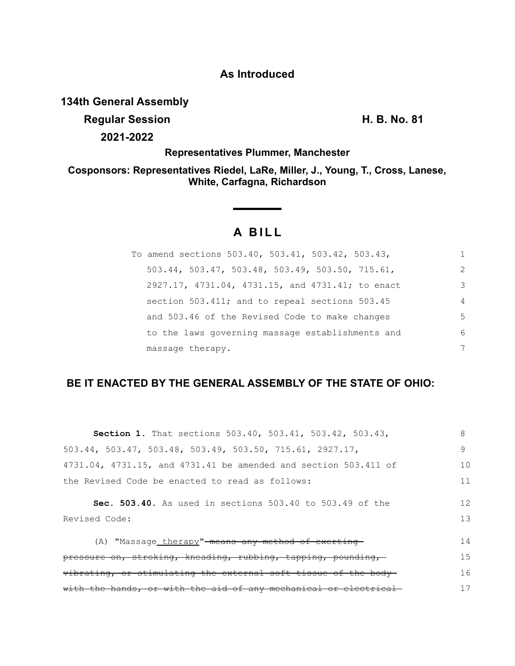# **As Introduced**

## **134th General Assembly**

**Regular Session H. B. No. 81**

**2021-2022**

**Representatives Plummer, Manchester**

**Cosponsors: Representatives Riedel, LaRe, Miller, J., Young, T., Cross, Lanese, White, Carfagna, Richardson**

# **A BILL**

**Service State** 

| To amend sections 503.40, 503.41, 503.42, 503.43, |               |
|---------------------------------------------------|---------------|
| 503.44, 503.47, 503.48, 503.49, 503.50, 715.61,   | $\mathcal{L}$ |
| 2927.17, 4731.04, 4731.15, and 4731.41; to enact  | 3             |
| section 503.411; and to repeal sections 503.45    | 4             |
| and 503.46 of the Revised Code to make changes    | 5             |
| to the laws governing massage establishments and  | 6             |
| massage therapy.                                  |               |

## **BE IT ENACTED BY THE GENERAL ASSEMBLY OF THE STATE OF OHIO:**

| <b>Section 1.</b> That sections 503.40, 503.41, 503.42, 503.43,               | 8  |
|-------------------------------------------------------------------------------|----|
| $503.44$ , $503.47$ , $503.48$ , $503.49$ , $503.50$ , $715.61$ , $2927.17$ , | 9  |
| 4731.04, 4731.15, and 4731.41 be amended and section 503.411 of               | 10 |
| the Revised Code be enacted to read as follows:                               | 11 |
| Sec. 503.40. As used in sections 503.40 to 503.49 of the                      | 12 |
| Revised Code:                                                                 | 13 |
| (A) "Massage therapy"-means any method of exerting-                           | 14 |
| pressure on, stroking, kneading, rubbing, tapping, pounding,                  | 15 |
| vibrating, or stimulating the external soft tissue of the body-               | 16 |
| with the hands, or with the aid of any mechanical or electrical-              | 17 |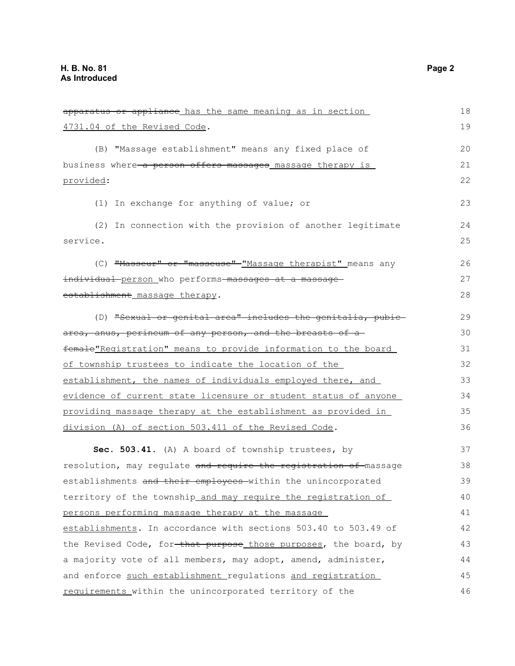| apparatus or appliance has the same meaning as in section        | 18 |
|------------------------------------------------------------------|----|
| 4731.04 of the Revised Code.                                     | 19 |
| (B) "Massage establishment" means any fixed place of             | 20 |
| business where a person offers massages massage therapy is       | 21 |
| provided:                                                        | 22 |
| (1) In exchange for anything of value; or                        | 23 |
| (2) In connection with the provision of another legitimate       | 24 |
| service.                                                         | 25 |
| (C) "Masseur" or "masseuse" "Massage therapist" means any        | 26 |
| individual person who performs massages at a massage             | 27 |
| establishment massage therapy.                                   | 28 |
| (D) "Sexual or genital area" includes the genitalia, pubic-      | 29 |
| area, anus, perineum of any person, and the breasts of a         | 30 |
| female"Registration" means to provide information to the board   | 31 |
| of township trustees to indicate the location of the             | 32 |
| establishment, the names of individuals employed there, and      | 33 |
| evidence of current state licensure or student status of anyone  | 34 |
| providing massage therapy at the establishment as provided in    | 35 |
| division (A) of section 503.411 of the Revised Code.             | 36 |
| Sec. 503.41. (A) A board of township trustees, by                | 37 |
| resolution, may regulate and require the registration of massage | 38 |
| establishments and their employees within the unincorporated     | 39 |
| territory of the township_and_may_require_the_registration_of_   | 40 |
| persons performing massage therapy at the massage                | 41 |
| establishments. In accordance with sections 503.40 to 503.49 of  | 42 |
| the Revised Code, for-that purpose those purposes, the board, by | 43 |
| a majority vote of all members, may adopt, amend, administer,    | 44 |
| and enforce such establishment regulations and registration      | 45 |
| requirements within the unincorporated territory of the          | 46 |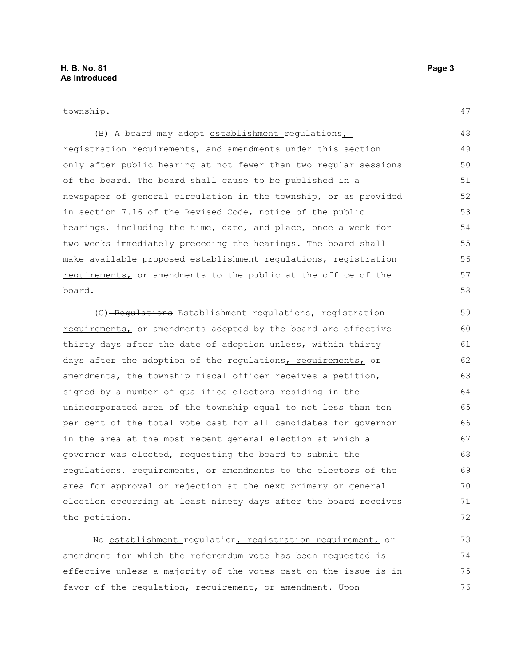township.

47

(B) A board may adopt establishment regulations registration requirements, and amendments under this section only after public hearing at not fewer than two regular sessions of the board. The board shall cause to be published in a newspaper of general circulation in the township, or as provided in section 7.16 of the Revised Code, notice of the public hearings, including the time, date, and place, once a week for two weeks immediately preceding the hearings. The board shall make available proposed establishment regulations, registration requirements, or amendments to the public at the office of the board. 48 49 50 51 52 53 54 55 56 57 58

(C) Regulations Establishment regulations, registration requirements, or amendments adopted by the board are effective thirty days after the date of adoption unless, within thirty days after the adoption of the requlations, requirements, or amendments, the township fiscal officer receives a petition, signed by a number of qualified electors residing in the unincorporated area of the township equal to not less than ten per cent of the total vote cast for all candidates for governor in the area at the most recent general election at which a governor was elected, requesting the board to submit the regulations, requirements, or amendments to the electors of the area for approval or rejection at the next primary or general election occurring at least ninety days after the board receives the petition. 59 60 61 62 63 64 65 66 67 68 69 70 71 72

No establishment regulation, registration requirement, or amendment for which the referendum vote has been requested is effective unless a majority of the votes cast on the issue is in favor of the regulation, requirement, or amendment. Upon 73 74 75 76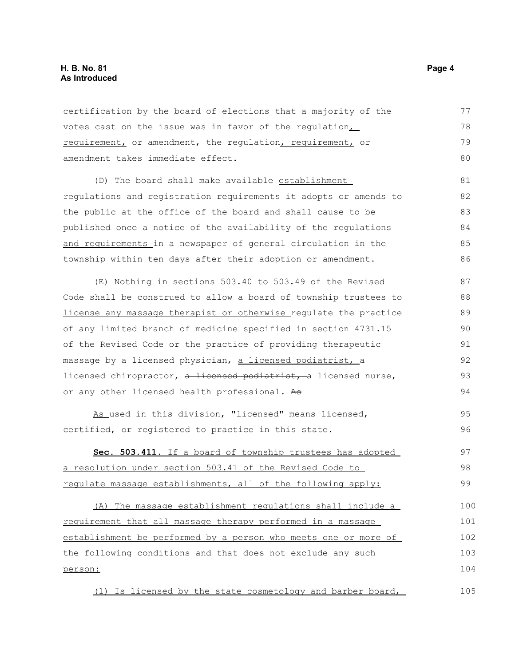## **H. B. No. 81 Page 4 As Introduced**

certification by the board of elections that a majority of the votes cast on the issue was in favor of the regulation, requirement, or amendment, the regulation, requirement, or amendment takes immediate effect. 77 78 79 80

(D) The board shall make available establishment regulations and registration requirements it adopts or amends to the public at the office of the board and shall cause to be published once a notice of the availability of the regulations and requirements in a newspaper of general circulation in the township within ten days after their adoption or amendment. 81 82 83 84 85 86

(E) Nothing in sections 503.40 to 503.49 of the Revised Code shall be construed to allow a board of township trustees to license any massage therapist or otherwise regulate the practice of any limited branch of medicine specified in section 4731.15 of the Revised Code or the practice of providing therapeutic massage by a licensed physician, a licensed podiatrist, a licensed chiropractor, a licensed podiatrist, a licensed nurse, or any other licensed health professional. As 87 88 89 90 91 92 93 94

As used in this division, "licensed" means licensed, certified, or registered to practice in this state. 95 96

 **Sec. 503.411.** If a board of township trustees has adopted a resolution under section 503.41 of the Revised Code to regulate massage establishments, all of the following apply: 97 98 99

(A) The massage establishment regulations shall include a requirement that all massage therapy performed in a massage establishment be performed by a person who meets one or more of the following conditions and that does not exclude any such person: 100 101 102 103 104

(1) Is licensed by the state cosmetology and barber board, 105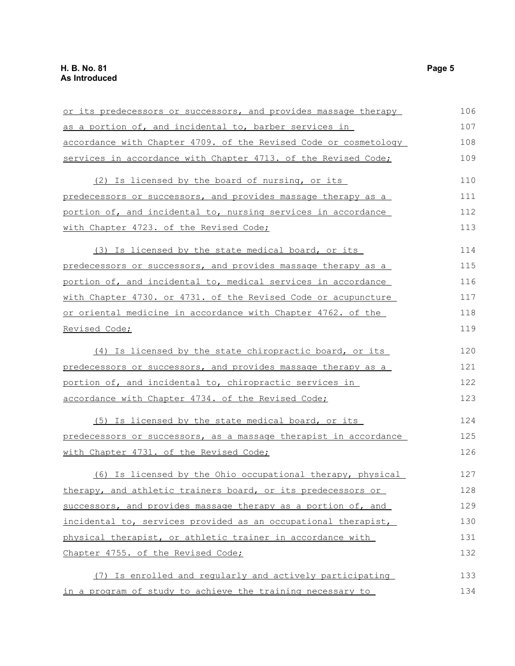| or its predecessors or successors, and provides massage therapy  | 106 |
|------------------------------------------------------------------|-----|
| as a portion of, and incidental to, barber services in           | 107 |
| accordance with Chapter 4709. of the Revised Code or cosmetology | 108 |
| services in accordance with Chapter 4713. of the Revised Code;   | 109 |
| (2) Is licensed by the board of nursing, or its                  | 110 |
| predecessors or successors, and provides massage therapy as a    | 111 |
| portion of, and incidental to, nursing services in accordance    | 112 |
| with Chapter 4723. of the Revised Code;                          | 113 |
| (3) Is licensed by the state medical board, or its               | 114 |
| predecessors or successors, and provides massage therapy as a    | 115 |
| portion of, and incidental to, medical services in accordance    | 116 |
| with Chapter 4730. or 4731. of the Revised Code or acupuncture   | 117 |
| or oriental medicine in accordance with Chapter 4762. of the     | 118 |
| Revised Code;                                                    | 119 |
| (4) Is licensed by the state chiropractic board, or its          | 120 |
| predecessors or successors, and provides massage therapy as a    | 121 |
| portion of, and incidental to, chiropractic services in          | 122 |
| accordance with Chapter 4734. of the Revised Code;               | 123 |
| (5) Is licensed by the state medical board, or its               | 124 |
| predecessors or successors, as a massage therapist in accordance | 125 |
| with Chapter 4731. of the Revised Code;                          | 126 |
| (6) Is licensed by the Ohio occupational therapy, physical       | 127 |
| therapy, and athletic trainers board, or its predecessors or     | 128 |
| successors, and provides massage therapy as a portion of, and    | 129 |
| incidental to, services provided as an occupational therapist,   | 130 |
| physical therapist, or athletic trainer in accordance with       | 131 |
| Chapter 4755. of the Revised Code;                               | 132 |
| (7) Is enrolled and reqularly and actively participating         | 133 |
| in a program of study to achieve the training necessary to       | 134 |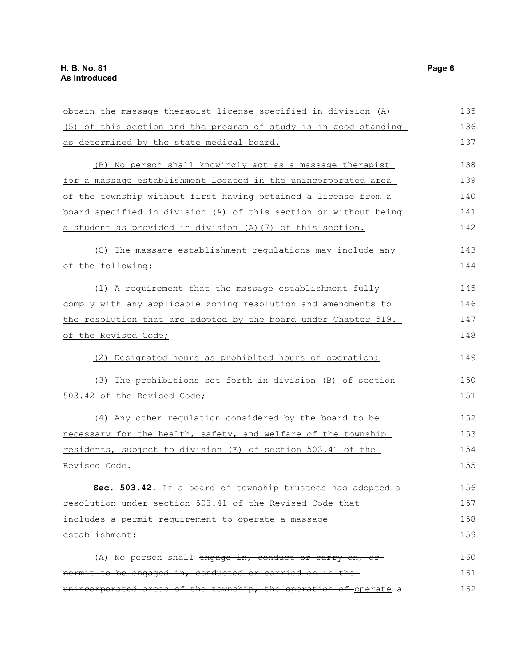| obtain the massage therapist license specified in division (A)   | 135 |
|------------------------------------------------------------------|-----|
| (5) of this section and the program of study is in good standing | 136 |
| as determined by the state medical board.                        | 137 |
| (B) No person shall knowingly act as a massage therapist         | 138 |
| for a massage establishment located in the unincorporated area   | 139 |
| of the township without first having obtained a license from a   | 140 |
| board specified in division (A) of this section or without being | 141 |
| a student as provided in division (A) (7) of this section.       | 142 |
| (C) The massage establishment regulations may include any        | 143 |
| of the following:                                                | 144 |
| (1) A requirement that the massage establishment fully           | 145 |
| comply with any applicable zoning resolution and amendments to   | 146 |
| the resolution that are adopted by the board under Chapter 519.  | 147 |
| of the Revised Code;                                             | 148 |
| (2) Designated hours as prohibited hours of operation;           | 149 |
| (3) The prohibitions set forth in division (B) of section        | 150 |
| 503.42 of the Revised Code;                                      | 151 |
| (4) Any other regulation considered by the board to be           | 152 |
| necessary for the health, safety, and welfare of the township    | 153 |
| residents, subject to division (E) of section 503.41 of the      | 154 |
| Revised Code.                                                    | 155 |
| Sec. 503.42. If a board of township trustees has adopted a       | 156 |
| resolution under section 503.41 of the Revised Code that         | 157 |
| includes a permit requirement to operate a massage               | 158 |
| establishment:                                                   | 159 |
| (A) No person shall engage in, conduct or carry on, or           | 160 |
| permit to be engaged in, conducted or carried on in the          | 161 |
| unincorporated areas of the township, the operation of operate a | 162 |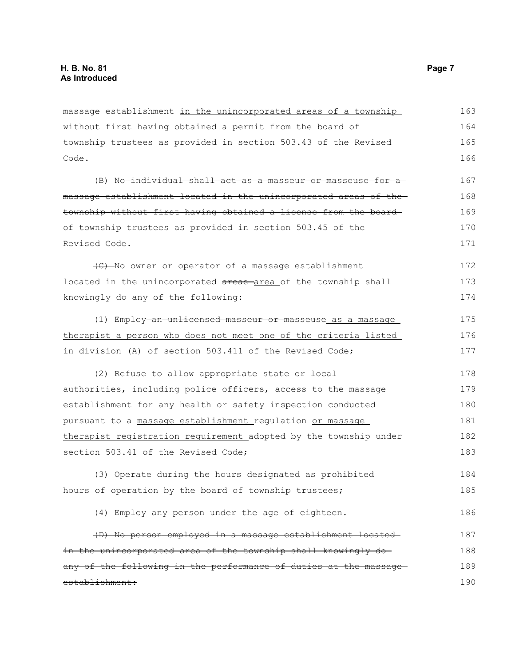massage establishment in the unincorporated areas of a township without first having obtained a permit from the board of township trustees as provided in section 503.43 of the Revised Code. (B) No individual shall act as a masseur or masseuse for a massage establishment located in the unincorporated areas of the township without first having obtained a license from the board of township trustees as provided in section 503.45 of the Revised Code. (C) No owner or operator of a massage establishment located in the unincorporated areas area of the township shall knowingly do any of the following: (1) Employ-an unlicensed masseur or masseuse as a massage therapist a person who does not meet one of the criteria listed in division (A) of section 503.411 of the Revised Code; (2) Refuse to allow appropriate state or local authorities, including police officers, access to the massage establishment for any health or safety inspection conducted pursuant to a massage establishment regulation or massage therapist registration requirement adopted by the township under section 503.41 of the Revised Code; (3) Operate during the hours designated as prohibited hours of operation by the board of township trustees; (4) Employ any person under the age of eighteen. (D) No person employed in a massage establishment located in the unincorporated area of the township shall knowingly doany of the following in the performance of duties at the massageestablishment: 163 164 165 166 167 168 169 170 171 172 173 174 175 176 177 178 179 180 181 182 183 184 185 186 187 188 189 190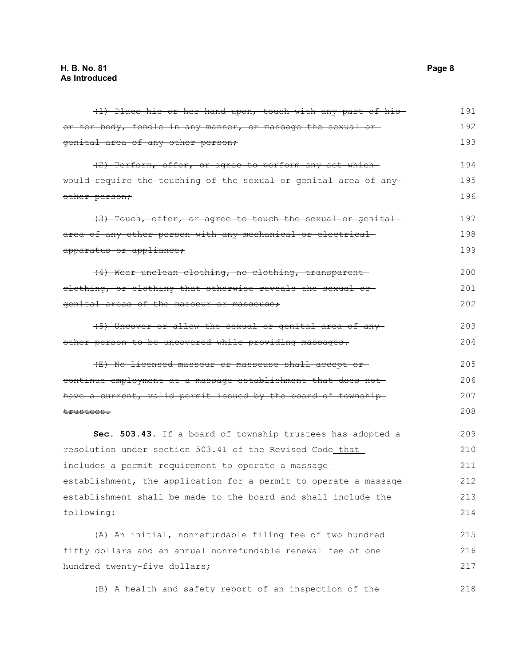| (1) Place his or her hand upon, touch with any part of his-      | 191 |
|------------------------------------------------------------------|-----|
| or her body, fondle in any manner, or massage the sexual or      | 192 |
| genital area of any other person;                                | 193 |
| (2) Perform, offer, or agree to perform any act which            | 194 |
| would require the touching of the sexual or genital area of any  | 195 |
| other person;                                                    | 196 |
| (3) Touch, offer, or agree to touch the sexual or genital-       | 197 |
| area of any other person with any mechanical or electrical-      | 198 |
| apparatus or appliance;                                          | 199 |
| (4) Wear unclean clothing, no clothing, transparent-             | 200 |
| elothing, or clothing that otherwise reveals the sexual or-      | 201 |
| genital areas of the masseur or masseuse;                        | 202 |
| (5) Uncover or allow the sexual or genital area of any           | 203 |
| other person to be uncovered while providing massages.           | 204 |
| (E) No licensed masseur or masseuse shall accept or              | 205 |
| continue employment at a massage establishment that does not     | 206 |
| have a current, valid permit issued by the board of township     | 207 |
| <del>trustees.</del>                                             | 208 |
| Sec. 503.43. If a board of township trustees has adopted a       | 209 |
| resolution under section 503.41 of the Revised Code_that_        | 210 |
| includes a permit requirement to operate a massage               | 211 |
| establishment, the application for a permit to operate a massage | 212 |
| establishment shall be made to the board and shall include the   | 213 |
| following:                                                       | 214 |
| (A) An initial, nonrefundable filing fee of two hundred          | 215 |
| fifty dollars and an annual nonrefundable renewal fee of one     | 216 |
| hundred twenty-five dollars;                                     | 217 |
| (B) A health and safety report of an inspection of the           | 218 |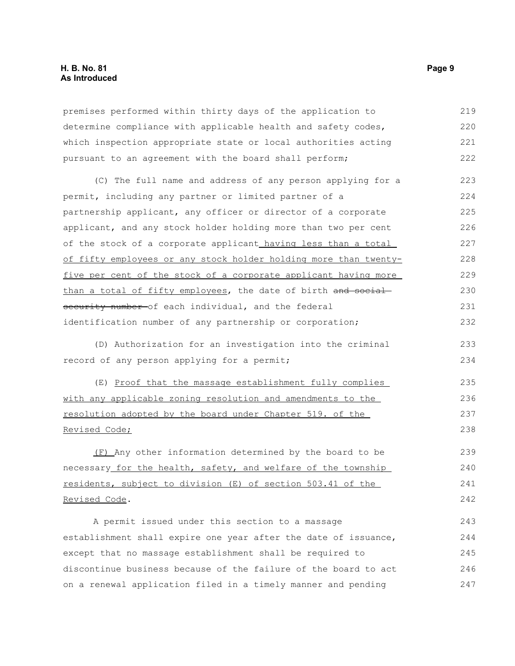## **H. B. No. 81 Page 9 As Introduced**

premises performed within thirty days of the application to determine compliance with applicable health and safety codes, which inspection appropriate state or local authorities acting pursuant to an agreement with the board shall perform; 219 220 221 222

(C) The full name and address of any person applying for a permit, including any partner or limited partner of a partnership applicant, any officer or director of a corporate applicant, and any stock holder holding more than two per cent of the stock of a corporate applicant having less than a total of fifty employees or any stock holder holding more than twentyfive per cent of the stock of a corporate applicant having more than a total of fifty employees, the date of birth and socialsecurity number of each individual, and the federal identification number of any partnership or corporation; 223 224 225 226 227 228 229 230 231 232

(D) Authorization for an investigation into the criminal record of any person applying for a permit;

(E) Proof that the massage establishment fully complies with any applicable zoning resolution and amendments to the resolution adopted by the board under Chapter 519. of the Revised Code;

(F) Any other information determined by the board to be necessary for the health, safety, and welfare of the township residents, subject to division (E) of section 503.41 of the Revised Code.

A permit issued under this section to a massage establishment shall expire one year after the date of issuance, except that no massage establishment shall be required to discontinue business because of the failure of the board to act on a renewal application filed in a timely manner and pending 243 244 245 246 247

233 234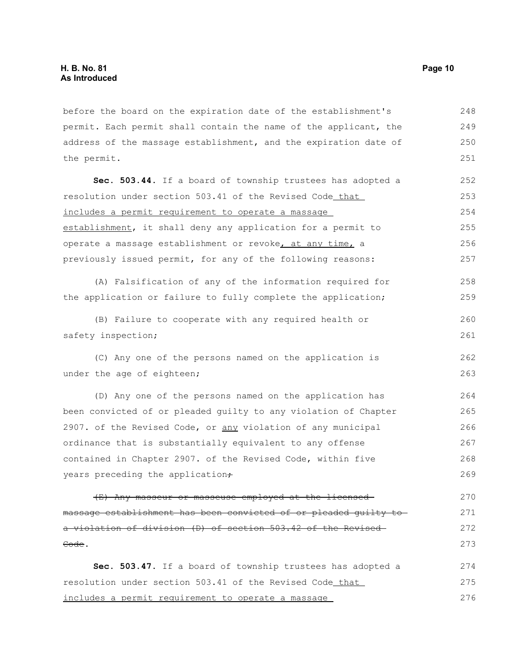before the board on the expiration date of the establishment's permit. Each permit shall contain the name of the applicant, the address of the massage establishment, and the expiration date of the permit. 248 249 250 251

**Sec. 503.44.** If a board of township trustees has adopted a resolution under section 503.41 of the Revised Code that includes a permit requirement to operate a massage establishment, it shall deny any application for a permit to operate a massage establishment or revoke, at any time, a previously issued permit, for any of the following reasons: 252 253 254 255 256 257

(A) Falsification of any of the information required for the application or failure to fully complete the application; 258 259

(B) Failure to cooperate with any required health or safety inspection; 260 261

(C) Any one of the persons named on the application is under the age of eighteen;

(D) Any one of the persons named on the application has been convicted of or pleaded guilty to any violation of Chapter 2907. of the Revised Code, or any violation of any municipal ordinance that is substantially equivalent to any offense contained in Chapter 2907. of the Revised Code, within five years preceding the application+ 264 265 266 267 268 269

(E) Any masseur or masseuse employed at the licensed massage establishment has been convicted of or pleaded guilty to a violation of division (D) of section 503.42 of the Revised Code. 270 271 272 273

**Sec. 503.47.** If a board of township trustees has adopted a resolution under section 503.41 of the Revised Code that includes a permit requirement to operate a massage 274 275 276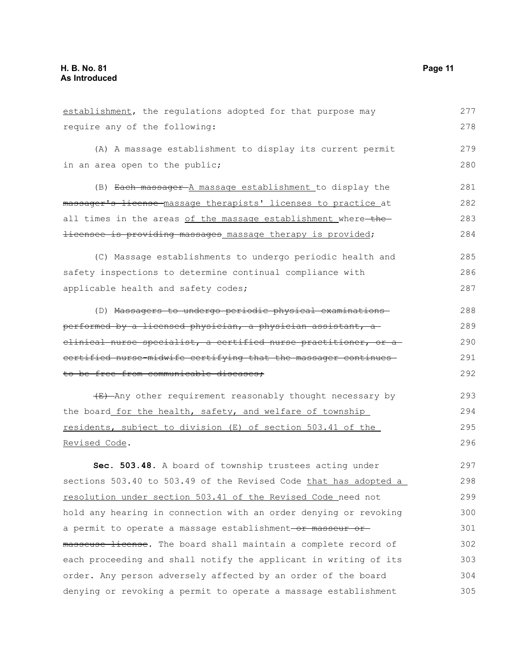| establishment, the regulations adopted for that purpose may        | 277 |
|--------------------------------------------------------------------|-----|
| require any of the following:                                      | 278 |
| (A) A massage establishment to display its current permit          | 279 |
| in an area open to the public;                                     | 280 |
|                                                                    |     |
| (B) Each massager A massage establishment to display the           | 281 |
| massager's license massage therapists' licenses to practice at     | 282 |
| all times in the areas of the massage establishment where-the-     | 283 |
| <i>licensee is providing massages massage therapy is provided;</i> | 284 |
| (C) Massage establishments to undergo periodic health and          | 285 |
| safety inspections to determine continual compliance with          | 286 |
| applicable health and safety codes;                                | 287 |
| (D) Massagers to undergo periodic physical examinations            | 288 |
| performed by a licensed physician, a physician assistant, a        | 289 |
| elinical nurse specialist, a certified nurse practitioner, or a    | 290 |
| certified nurse-midwife certifying that the massager continues-    | 291 |
| to be free from communicable diseases;                             | 292 |
| (E) Any other requirement reasonably thought necessary by          | 293 |
| the board for the health, safety, and welfare of township          | 294 |
| residents, subject to division (E) of section 503.41 of the        | 295 |
| Revised Code.                                                      | 296 |
| Sec. 503.48. A board of township trustees acting under             | 297 |
| sections 503.40 to 503.49 of the Revised Code that has adopted a   | 298 |
| resolution under section 503.41 of the Revised Code need not       | 299 |
| hold any hearing in connection with an order denying or revoking   | 300 |
| a permit to operate a massage establishment-or masseur or-         | 301 |
| masseuse license. The board shall maintain a complete record of    | 302 |

each proceeding and shall notify the applicant in writing of its order. Any person adversely affected by an order of the board denying or revoking a permit to operate a massage establishment 303 304 305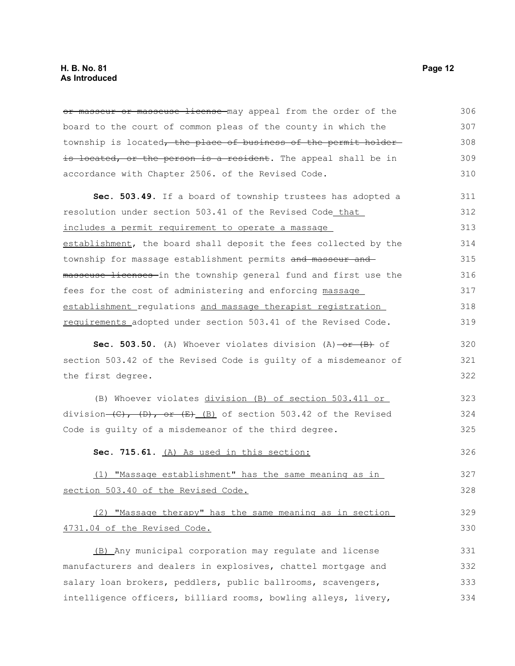or masseur or masseuse license may appeal from the order of the board to the court of common pleas of the county in which the township is located, the place of business of the permit holderis located, or the person is a resident. The appeal shall be in accordance with Chapter 2506. of the Revised Code. 306 307 308 309 310

**Sec. 503.49.** If a board of township trustees has adopted a resolution under section 503.41 of the Revised Code that includes a permit requirement to operate a massage establishment, the board shall deposit the fees collected by the township for massage establishment permits and masseur and masseuse licenses in the township general fund and first use the fees for the cost of administering and enforcing massage establishment regulations and massage therapist registration requirements adopted under section 503.41 of the Revised Code. 311 312 313 314 315 316 317 318 319

**Sec. 503.50.** (A) Whoever violates division (A) or (B) of section 503.42 of the Revised Code is guilty of a misdemeanor of the first degree.

(B) Whoever violates division (B) of section 503.411 or division  $(C)$ ,  $(D)$ , or  $(E)$  (B) of section 503.42 of the Revised Code is guilty of a misdemeanor of the third degree. 323 324 325

**Sec. 715.61.** (A) As used in this section: 326

(1) "Massage establishment" has the same meaning as in section 503.40 of the Revised Code.

(2) "Massage therapy" has the same meaning as in section 4731.04 of the Revised Code. 329 330

(B) Any municipal corporation may regulate and license manufacturers and dealers in explosives, chattel mortgage and salary loan brokers, peddlers, public ballrooms, scavengers, intelligence officers, billiard rooms, bowling alleys, livery, 331 332 333 334

320 321 322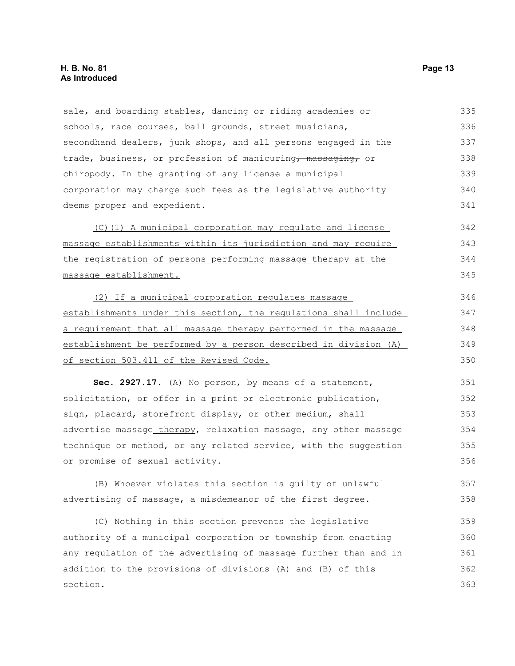sale, and boarding stables, dancing or riding academies or schools, race courses, ball grounds, street musicians, secondhand dealers, junk shops, and all persons engaged in the trade, business, or profession of manicuring, massaging, or chiropody. In the granting of any license a municipal corporation may charge such fees as the legislative authority deems proper and expedient. 335 336 337 338 339 340 341

(C)(1) A municipal corporation may regulate and license massage establishments within its jurisdiction and may require the registration of persons performing massage therapy at the massage establishment. 342 343 344 345

(2) If a municipal corporation regulates massage establishments under this section, the regulations shall include a requirement that all massage therapy performed in the massage establishment be performed by a person described in division (A) of section 503.411 of the Revised Code. 346 347 348 349 350

**Sec. 2927.17.** (A) No person, by means of a statement, solicitation, or offer in a print or electronic publication, sign, placard, storefront display, or other medium, shall advertise massage therapy, relaxation massage, any other massage technique or method, or any related service, with the suggestion or promise of sexual activity. 351 352 353 354 355 356

(B) Whoever violates this section is guilty of unlawful advertising of massage, a misdemeanor of the first degree. 357 358

(C) Nothing in this section prevents the legislative authority of a municipal corporation or township from enacting any regulation of the advertising of massage further than and in addition to the provisions of divisions (A) and (B) of this section. 359 360 361 362 363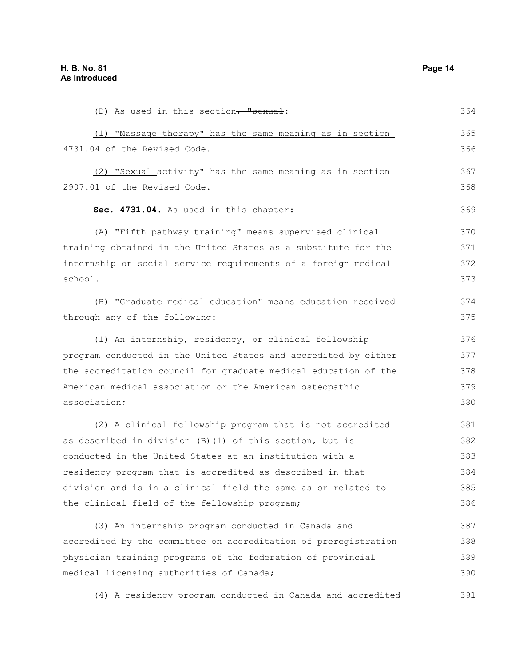(D) As used in this section, "sexual: (1) "Massage therapy" has the same meaning as in section 4731.04 of the Revised Code. (2) "Sexual activity" has the same meaning as in section 2907.01 of the Revised Code. **Sec. 4731.04.** As used in this chapter: (A) "Fifth pathway training" means supervised clinical training obtained in the United States as a substitute for the internship or social service requirements of a foreign medical school. (B) "Graduate medical education" means education received through any of the following: (1) An internship, residency, or clinical fellowship program conducted in the United States and accredited by either the accreditation council for graduate medical education of the American medical association or the American osteopathic association; (2) A clinical fellowship program that is not accredited as described in division (B)(1) of this section, but is conducted in the United States at an institution with a residency program that is accredited as described in that division and is in a clinical field the same as or related to the clinical field of the fellowship program; (3) An internship program conducted in Canada and accredited by the committee on accreditation of preregistration physician training programs of the federation of provincial medical licensing authorities of Canada; 364 365 366 367 368 369 370 371 372 373 374 375 376 377 378 379 380 381 382 383 384 385 386 387 388 389 390

(4) A residency program conducted in Canada and accredited 391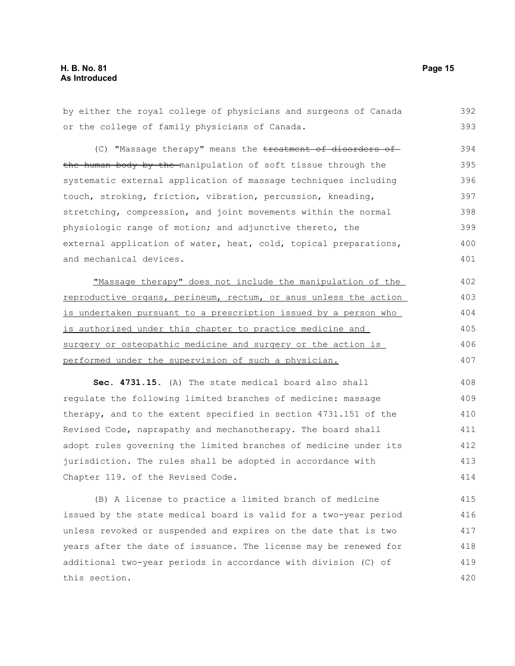by either the royal college of physicians and surgeons of Canada or the college of family physicians of Canada. (C) "Massage therapy" means the treatment of disorders of the human body by the manipulation of soft tissue through the systematic external application of massage techniques including touch, stroking, friction, vibration, percussion, kneading, stretching, compression, and joint movements within the normal physiologic range of motion; and adjunctive thereto, the external application of water, heat, cold, topical preparations, and mechanical devices. "Massage therapy" does not include the manipulation of the reproductive organs, perineum, rectum, or anus unless the action is undertaken pursuant to a prescription issued by a person who is authorized under this chapter to practice medicine and surgery or osteopathic medicine and surgery or the action is performed under the supervision of such a physician. 392 393 394 395 396 397 398 399 400 401 402 403 404 405 406 407

**Sec. 4731.15.** (A) The state medical board also shall regulate the following limited branches of medicine: massage therapy, and to the extent specified in section 4731.151 of the Revised Code, naprapathy and mechanotherapy. The board shall adopt rules governing the limited branches of medicine under its jurisdiction. The rules shall be adopted in accordance with Chapter 119. of the Revised Code. 408 409 410 411 412 413 414

(B) A license to practice a limited branch of medicine issued by the state medical board is valid for a two-year period unless revoked or suspended and expires on the date that is two years after the date of issuance. The license may be renewed for additional two-year periods in accordance with division (C) of this section. 415 416 417 418 419 420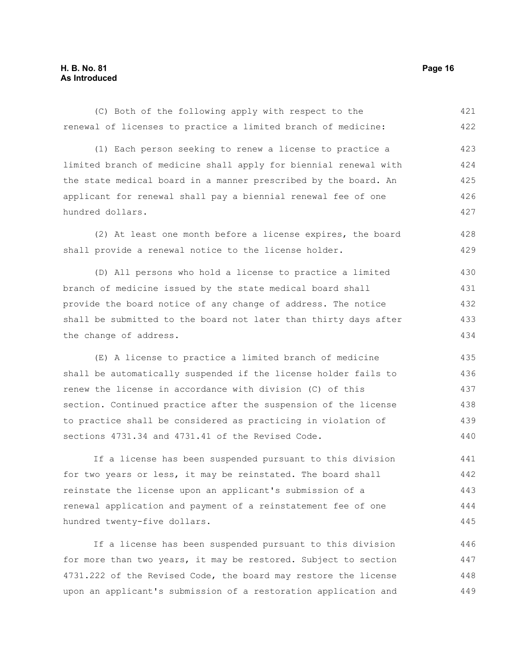## **H. B. No. 81 Page 16 As Introduced**

hundred twenty-five dollars.

(C) Both of the following apply with respect to the renewal of licenses to practice a limited branch of medicine: (1) Each person seeking to renew a license to practice a limited branch of medicine shall apply for biennial renewal with the state medical board in a manner prescribed by the board. An applicant for renewal shall pay a biennial renewal fee of one hundred dollars. (2) At least one month before a license expires, the board shall provide a renewal notice to the license holder. (D) All persons who hold a license to practice a limited branch of medicine issued by the state medical board shall provide the board notice of any change of address. The notice shall be submitted to the board not later than thirty days after the change of address. (E) A license to practice a limited branch of medicine shall be automatically suspended if the license holder fails to renew the license in accordance with division (C) of this section. Continued practice after the suspension of the license to practice shall be considered as practicing in violation of sections 4731.34 and 4731.41 of the Revised Code. If a license has been suspended pursuant to this division for two years or less, it may be reinstated. The board shall reinstate the license upon an applicant's submission of a renewal application and payment of a reinstatement fee of one 421 422 423 424 425 426 427 428 429 430 431 432 433 434 435 436 437 438 439 440 441 442 443 444

If a license has been suspended pursuant to this division for more than two years, it may be restored. Subject to section 4731.222 of the Revised Code, the board may restore the license upon an applicant's submission of a restoration application and 446 447 448 449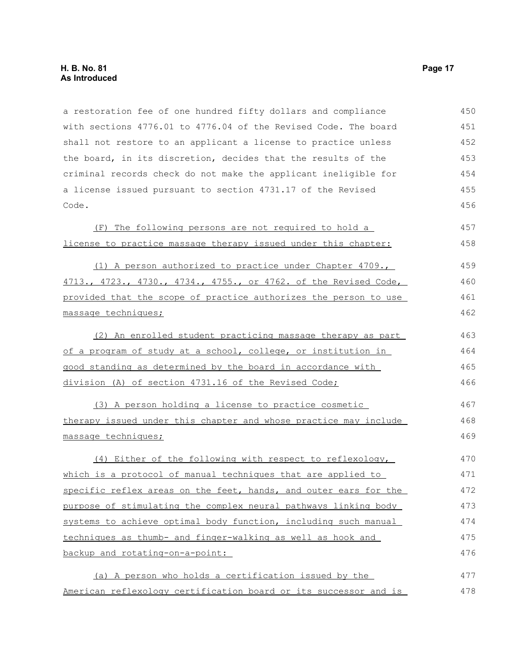a restoration fee of one hundred fifty dollars and compliance with sections 4776.01 to 4776.04 of the Revised Code. The board shall not restore to an applicant a license to practice unless the board, in its discretion, decides that the results of the criminal records check do not make the applicant ineligible for a license issued pursuant to section 4731.17 of the Revised Code. 450 451 452 453 454 455 456

|                                                                | (F) The following persons are not required to hold a |  |  | 457 |
|----------------------------------------------------------------|------------------------------------------------------|--|--|-----|
| license to practice massage therapy issued under this chapter: |                                                      |  |  | 458 |

(1) A person authorized to practice under Chapter 4709., 4713., 4723., 4730., 4734., 4755., or 4762. of the Revised Code, provided that the scope of practice authorizes the person to use massage techniques; 459 460 461 462

(2) An enrolled student practicing massage therapy as part of a program of study at a school, college, or institution in good standing as determined by the board in accordance with division (A) of section 4731.16 of the Revised Code; 463 464 465 466

(3) A person holding a license to practice cosmetic therapy issued under this chapter and whose practice may include massage techniques; 467 468 469

(4) Either of the following with respect to reflexology, which is a protocol of manual techniques that are applied to specific reflex areas on the feet, hands, and outer ears for the purpose of stimulating the complex neural pathways linking body systems to achieve optimal body function, including such manual techniques as thumb- and finger-walking as well as hook and backup and rotating-on-a-point: 470 471 472 473 474 475 476

(a) A person who holds a certification issued by the American reflexology certification board or its successor and is 477 478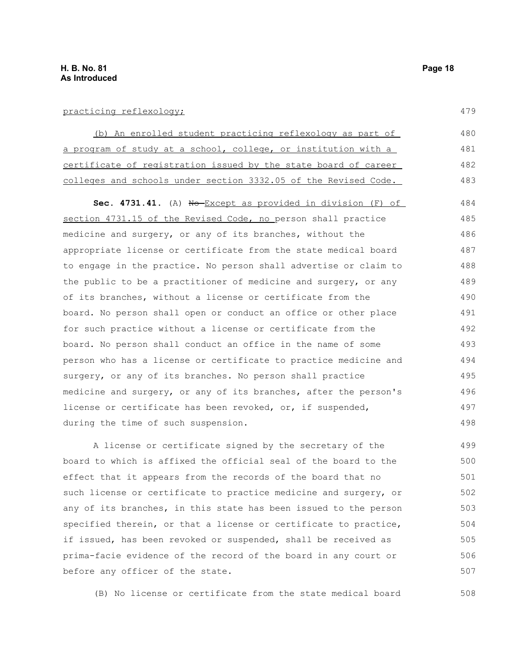(b) An enrolled student practicing reflexology as part of a program of study at a school, college, or institution with a certificate of registration issued by the state board of career colleges and schools under section 3332.05 of the Revised Code. 480 481 482 483

Sec. 4731.41. (A) No Except as provided in division (F) of section 4731.15 of the Revised Code, no person shall practice medicine and surgery, or any of its branches, without the appropriate license or certificate from the state medical board to engage in the practice. No person shall advertise or claim to the public to be a practitioner of medicine and surgery, or any of its branches, without a license or certificate from the board. No person shall open or conduct an office or other place for such practice without a license or certificate from the board. No person shall conduct an office in the name of some person who has a license or certificate to practice medicine and surgery, or any of its branches. No person shall practice medicine and surgery, or any of its branches, after the person's license or certificate has been revoked, or, if suspended, during the time of such suspension. 484 485 486 487 488 489 490 491 492 493 494 495 496 497 498

A license or certificate signed by the secretary of the board to which is affixed the official seal of the board to the effect that it appears from the records of the board that no such license or certificate to practice medicine and surgery, or any of its branches, in this state has been issued to the person specified therein, or that a license or certificate to practice, if issued, has been revoked or suspended, shall be received as prima-facie evidence of the record of the board in any court or before any officer of the state. 499 500 501 502 503 504 505 506 507

(B) No license or certificate from the state medical board 508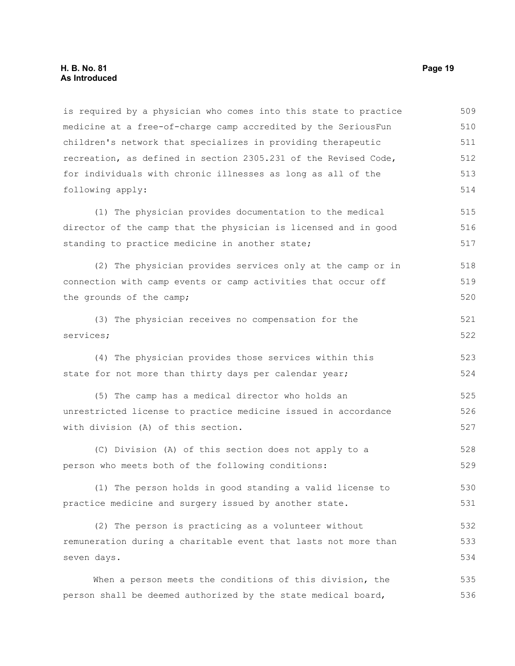is required by a physician who comes into this state to practice medicine at a free-of-charge camp accredited by the SeriousFun children's network that specializes in providing therapeutic recreation, as defined in section 2305.231 of the Revised Code, for individuals with chronic illnesses as long as all of the following apply: 509 510 511 512 513 514

(1) The physician provides documentation to the medical director of the camp that the physician is licensed and in good standing to practice medicine in another state; 515 516 517

(2) The physician provides services only at the camp or in connection with camp events or camp activities that occur off the grounds of the camp; 518 519 520

(3) The physician receives no compensation for the services; 521 522

(4) The physician provides those services within this state for not more than thirty days per calendar year; 523

(5) The camp has a medical director who holds an unrestricted license to practice medicine issued in accordance with division (A) of this section. 525 526 527

(C) Division (A) of this section does not apply to a person who meets both of the following conditions: 528 529

(1) The person holds in good standing a valid license to practice medicine and surgery issued by another state. 530 531

(2) The person is practicing as a volunteer without remuneration during a charitable event that lasts not more than seven days. 532 533 534

When a person meets the conditions of this division, the person shall be deemed authorized by the state medical board, 535 536